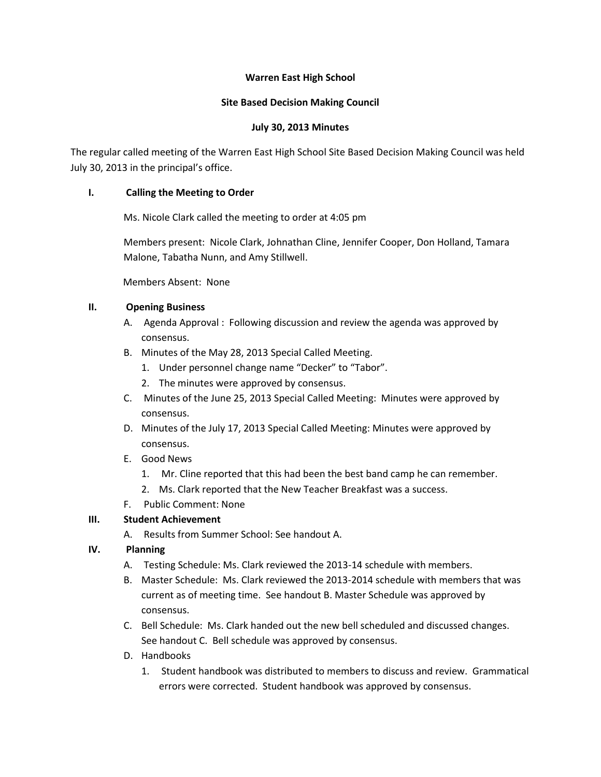## **Warren East High School**

### **Site Based Decision Making Council**

## **July 30, 2013 Minutes**

The regular called meeting of the Warren East High School Site Based Decision Making Council was held July 30, 2013 in the principal's office.

## **I. Calling the Meeting to Order**

Ms. Nicole Clark called the meeting to order at 4:05 pm

Members present: Nicole Clark, Johnathan Cline, Jennifer Cooper, Don Holland, Tamara Malone, Tabatha Nunn, and Amy Stillwell.

Members Absent: None

## **II. Opening Business**

- A. Agenda Approval : Following discussion and review the agenda was approved by consensus.
- B. Minutes of the May 28, 2013 Special Called Meeting.
	- 1. Under personnel change name "Decker" to "Tabor".
	- 2. The minutes were approved by consensus.
- C. Minutes of the June 25, 2013 Special Called Meeting: Minutes were approved by consensus.
- D. Minutes of the July 17, 2013 Special Called Meeting: Minutes were approved by consensus.
- E. Good News
	- 1. Mr. Cline reported that this had been the best band camp he can remember.
	- 2. Ms. Clark reported that the New Teacher Breakfast was a success.
- F. Public Comment: None

# **III. Student Achievement**

A. Results from Summer School: See handout A.

# **IV. Planning**

- A. Testing Schedule: Ms. Clark reviewed the 2013-14 schedule with members.
- B. Master Schedule: Ms. Clark reviewed the 2013-2014 schedule with members that was current as of meeting time. See handout B. Master Schedule was approved by consensus.
- C. Bell Schedule: Ms. Clark handed out the new bell scheduled and discussed changes. See handout C. Bell schedule was approved by consensus.
- D. Handbooks
	- 1. Student handbook was distributed to members to discuss and review. Grammatical errors were corrected. Student handbook was approved by consensus.